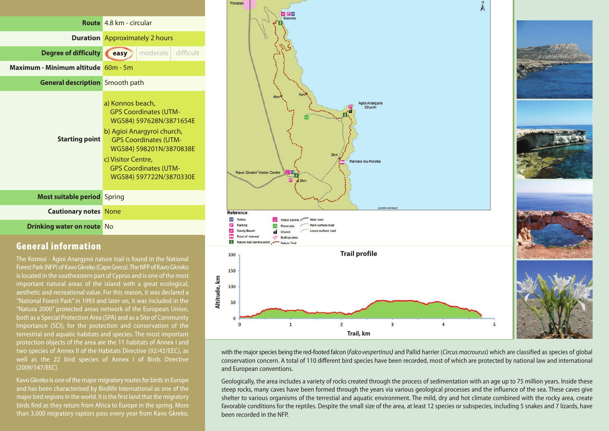

#### **General information**

The Konnoi - Agioi Anargyroi nature trail is found in the National Forest Park (NFP) of Kavo Gkreko (Cape Greco). The NFP of Kavo Gkreko islocated in the southeastern part of Cyprus and is one of the most important natural areas of the island with a great ecological, aesthetic and recreational value. For this reason, it was declared a "National Forest Park"in 1993 and later on, it was included in the "Natura 2000" protected areas network of the European Union, both as a Special Protection Area (SPA) and as a Site of Community Importance (SCI), for the protection and conservation of the terrestrial and aquatic habitats and species. The most important protection objects of the area are the 11 habitats of Annex I and two species of Annex II of the Habitats Directive (92/42/EEC), as well as the 22 bird species of Annex I of Birds Directive (2009/147/EEC).

Kavo Gkreko is one of the major migratory routes for birds in Europe and has been characterised by Birdlife International as one of the major bird regions in the world. It is the first land that the migratory birds find as they return from Africa to Europe in the spring. More than 3,000 migratory raptors pass every year from Kavo Gkreko,



with themajorspecies being the red-footed falcon (Falco vespertinus*)* and Pallid harrier (Circus macrourus) which are classified as species of global conservation concern. A total of 110 different bird species have been recorded, most of which are protected by national law and international and European conventions.

Geologically, the area includes a variety of rocks created through the process of sedimentation with an age up to 75 million years. Inside these steep rocks, many caves have been formed through the years via various geological processes and the influence of the sea. These caves give shelter to various organisms of the terrestial and aquatic environment. The mild, dry and hot climate combined with the rocky area, create favorable conditions for the reptiles. Despite the small size of the area, at least 12 species or subspecies, including 5 snakes and 7 lizards, have been recorded in the NFP.